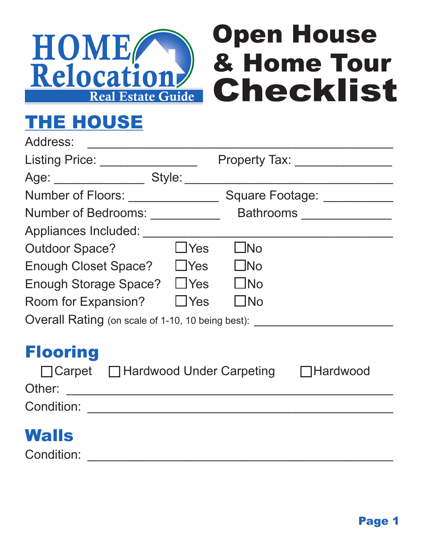



# THE HOUSE

| <b>Property Tax:</b> Property Tax:                        |
|-----------------------------------------------------------|
|                                                           |
| Number of Floors: ______________                          |
| Bathrooms _____________                                   |
|                                                           |
| $\Box$ No                                                 |
| $\bigsqcup$ No                                            |
| $\bigsqcup$ No                                            |
| $\bigsqcup$ No                                            |
| Overall Rating (on scale of 1-10, 10 being best):         |
| $\Box$ Carpet $\Box$ Hardwood Under Carpeting<br>Hardwood |
|                                                           |

## **Walls**

Condition: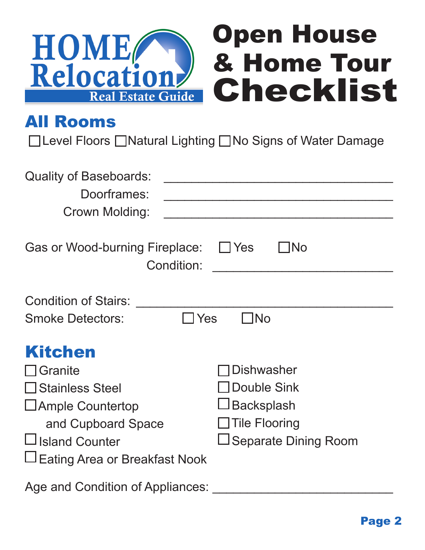

#### All Rooms

□Level Floors □Natural Lighting □No Signs of Water Damage

| <b>Quality of Baseboards:</b>        |                             |
|--------------------------------------|-----------------------------|
| Doorframes:                          |                             |
| Crown Molding:                       |                             |
|                                      |                             |
| Gas or Wood-burning Fireplace:       | Yes<br><b>INo</b>           |
| Condition:                           |                             |
|                                      |                             |
| <b>Condition of Stairs:</b>          |                             |
| Yes<br><b>Smoke Detectors:</b>       | <b>TNo</b>                  |
|                                      |                             |
| <b>Kitchen</b>                       |                             |
| Granite                              | <b>Dishwasher</b>           |
| <b>□ Stainless Steel</b>             | <b>JDouble Sink</b>         |
| $\Box$ Ample Countertop              | $\Box$ Backsplash           |
| and Cupboard Space                   | $\Box$ Tile Flooring        |
| <b>Island Counter</b>                | $\Box$ Separate Dining Room |
|                                      |                             |
| <b>Eating Area or Breakfast Nook</b> |                             |
|                                      |                             |

Age and Condition of Appliances: \_\_\_\_\_\_\_\_\_\_\_\_\_\_\_\_\_\_\_\_\_\_\_\_\_\_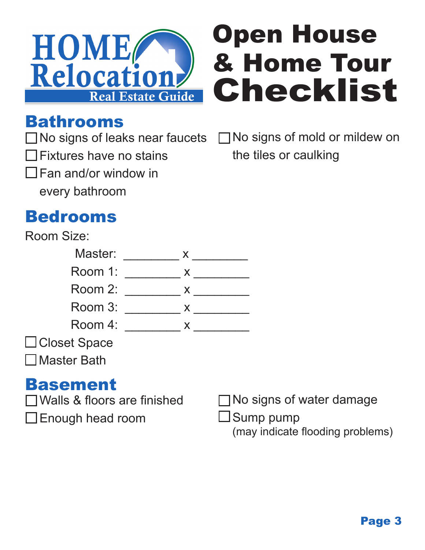



### Bathrooms

 Fixtures have no stains Fan and/or window in every bathroom

 $\Box$  No signs of leaks near faucets  $\Box$  No signs of mold or mildew on the tiles or caulking

## Bedrooms



#### Basement

- Walls & floors are finished
- Enough head room

No signs of water damage

 $\Box$  Sump pump

(may indicate flooding problems)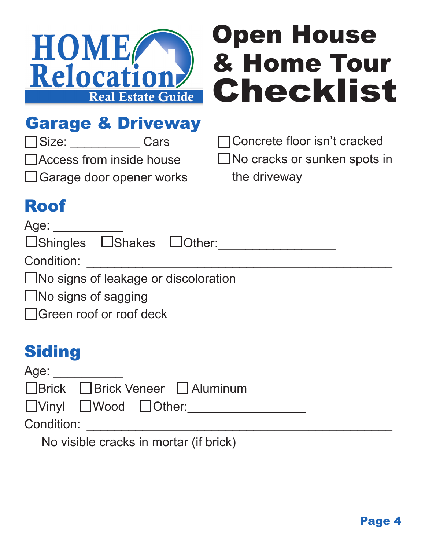

# Open House & Home Tour Checklist

# Garage & Driveway

Size: \_\_\_\_\_\_\_\_\_\_ Cars

Access from inside house

□ Garage door opener works

Concrete floor isn't cracked

□ No cracks or sunken spots in the driveway

# Roof

#### Age: \_\_\_\_\_\_\_\_\_\_

|  | □Shingles □Shakes □Other: |  |  |
|--|---------------------------|--|--|
|--|---------------------------|--|--|

Condition:

□No signs of leakage or discoloration

□No signs of sagging

Green roof or roof deck

## **Siding**

| Age: |                                                  |
|------|--------------------------------------------------|
|      | $\Box$ Brick $\Box$ Brick Veneer $\Box$ Aluminum |
|      | $\Box$ llinul $\Box$                             |

UVinyl UWood UUther:

Condition: \_\_\_\_\_\_\_\_\_\_\_\_\_\_\_\_\_\_\_\_\_\_\_\_\_\_\_\_\_\_\_\_\_\_\_\_\_\_\_\_\_\_\_\_

No visible cracks in mortar (if brick)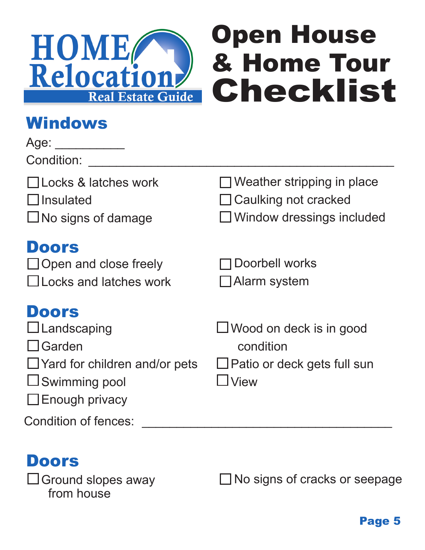

## **Windows**

| Age:<br>Condition:                                                                                                                     |                                                                                                      |
|----------------------------------------------------------------------------------------------------------------------------------------|------------------------------------------------------------------------------------------------------|
| □Locks & latches work<br>$\Box$ Insulated<br>$\Box$ No signs of damage                                                                 | $\Box$ Weather stripping in place<br>$\Box$ Caulking not cracked<br>$\Box$ Window dressings included |
| <b>Doors</b><br>$\Box$ Open and close freely<br>$\Box$ Locks and latches work                                                          | Doorbell works<br>$\Box$ Alarm system                                                                |
| <b>Doors</b><br>$\Box$ Landscaping<br>∐Garden<br>$\Box$ Yard for children and/or pets<br>$\Box$ Swimming pool<br>$\Box$ Enough privacy | $\Box$ Wood on deck is in good<br>condition<br>$\Box$ Patio or deck gets full sun<br><b>View</b>     |
| Condition of fences:                                                                                                                   |                                                                                                      |

## Doors

 $\square$  Ground slopes away from house

□ No signs of cracks or seepage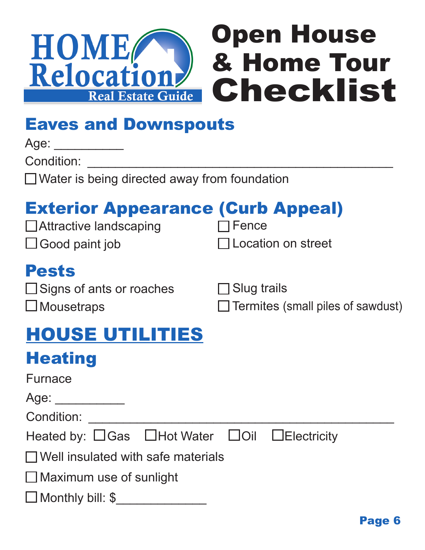

## Eaves and Downspouts

Age: \_\_\_\_\_\_\_\_\_\_\_\_

Condition:

□ Water is being directed away from foundation

## Exterior Appearance (Curb Appeal)

**□Attractive landscaping**  $\Box$  Good paint job

 $\Box$  Fence

Location on street

#### Pests

 $\square$  Signs of ants or roaches □ Mousetraps

□ Slug trails

 $\Box$  Termites (small piles of sawdust)

## HOUSE UTILITIES

## **Heating**

| <b>Furnace</b> |
|----------------|
|----------------|

Age: \_\_\_\_\_\_\_\_\_\_\_\_\_

Condition:

| Heated by: □Gas □Hot Water □Oil □Electricity |  |  |  |
|----------------------------------------------|--|--|--|
|----------------------------------------------|--|--|--|

 $\Box$  Well insulated with safe materials

 $\Box$  Maximum use of sunlight

□ Monthly bill: \$\_\_\_\_\_\_\_\_\_\_\_\_\_\_\_\_\_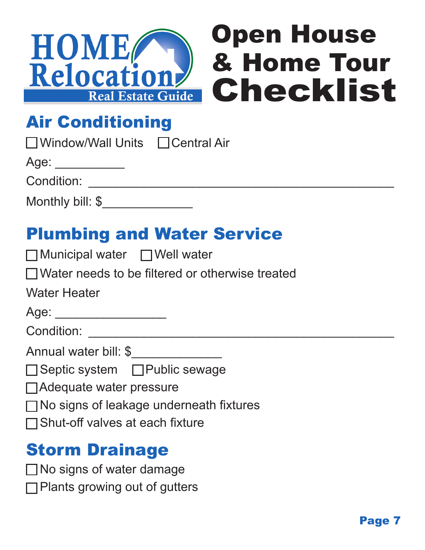

## Air Conditioning

| □ Window/Wall Units | $\Box$ Central Air |
|---------------------|--------------------|
|                     |                    |

Age: \_\_\_\_\_\_\_\_\_\_\_\_

Condition:

| Monthly bill: \$ |  |
|------------------|--|
|------------------|--|

## Plumbing and Water Service

| $\Box$ Municipal water | $\Box$ Well water |
|------------------------|-------------------|
|------------------------|-------------------|

| $\Box$ Water needs to be filtered or otherwise treated |  |
|--------------------------------------------------------|--|
|--------------------------------------------------------|--|

Water Heater

| $\cdot$ .<br>ı<br>$\rightarrow$ |  |
|---------------------------------|--|
|                                 |  |
|                                 |  |
|                                 |  |

Condition:

Annual water bill: \$

- □ Septic system □ Public sewage
- Adequate water pressure
- □ No signs of leakage underneath fixtures
- □Shut-off valves at each fixture

## Storm Drainage

- □ No signs of water damage
- **□Plants growing out of gutters**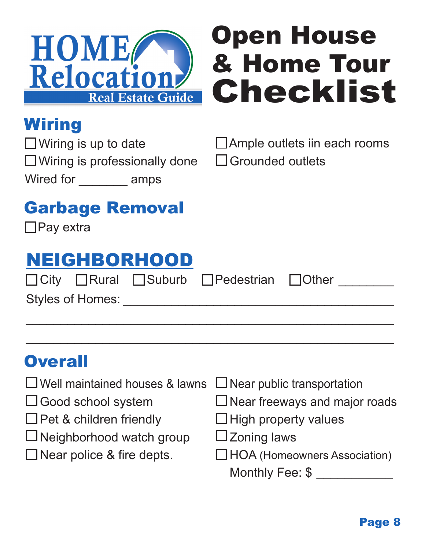

# Open House & Home Tour Checklist

# **Wiring**

 $\Box$  Wiring is up to date  $\Box$  Wiring is professionally done Wired for \_\_\_\_\_\_\_ amps

| □ Ample outlets iin each rooms |  |  |  |
|--------------------------------|--|--|--|
|--------------------------------|--|--|--|

□ Grounded outlets

# Garbage Removal

□Pay extra

# NEIGHBORHOOD

 $\Box$  City  $\Box$  Rural  $\Box$  Suburb  $\Box$  Pedestrian  $\Box$  Other

 $\mathcal{L}_\text{max}$  , and the contract of the contract of the contract of the contract of the contract of the contract of the contract of the contract of the contract of the contract of the contract of the contract of the contr

 $\mathcal{L}_\text{max}$  , and the contract of the contract of the contract of the contract of the contract of the contract of the contract of the contract of the contract of the contract of the contract of the contract of the contr

Styles of Homes:

## **Overall**

- Well maintained houses & lawns
- □ Good school system
- $\Box$  Pet & children friendly
- $\Box$ Neighborhood watch group
- $\Box$  Near police & fire depts.
- $\Box$  Near public transportation
- $\Box$  Near freeways and major roads
- $\Box$  High property values
- $\square$  Zoning laws
- HOA (Homeowners Association)

Monthly Fee: \$